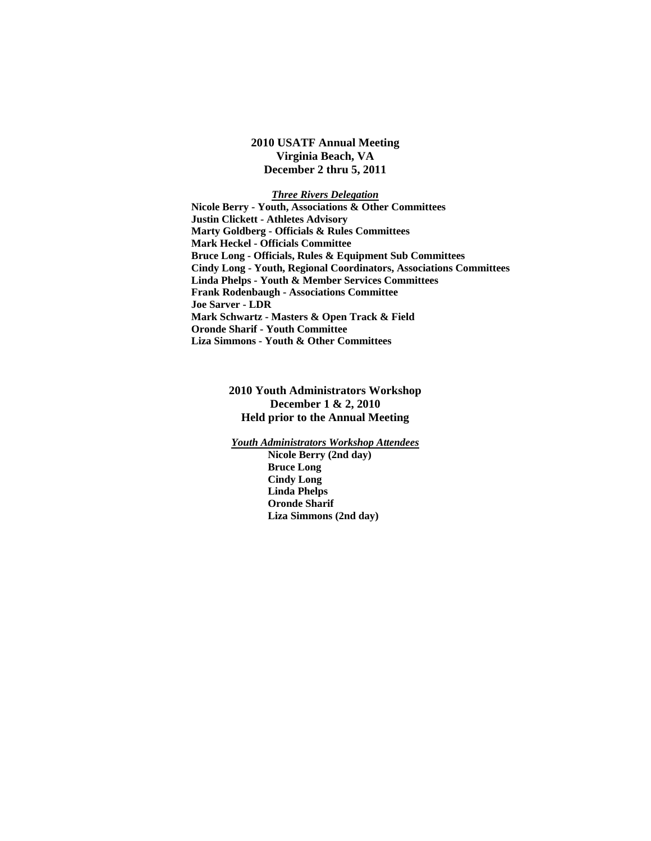**2010 USATF Annual Meeting Virginia Beach, VA December 2 thru 5, 2011** 

*Three Rivers Delegation*   **Nicole Berry - Youth, Associations & Other Committees Justin Clickett - Athletes Advisory Marty Goldberg - Officials & Rules Committees Mark Heckel - Officials Committee Bruce Long - Officials, Rules & Equipment Sub Committees Cindy Long - Youth, Regional Coordinators, Associations Committees Linda Phelps - Youth & Member Services Committees Frank Rodenbaugh - Associations Committee Joe Sarver - LDR Mark Schwartz - Masters & Open Track & Field Oronde Sharif - Youth Committee Liza Simmons - Youth & Other Committees** 

# **2010 Youth Administrators Workshop December 1 & 2, 2010 Held prior to the Annual Meeting**

*Youth Administrators Workshop Attendees*

 **Nicole Berry (2nd day) Bruce Long Cindy Long Linda Phelps Oronde Sharif Liza Simmons (2nd day)**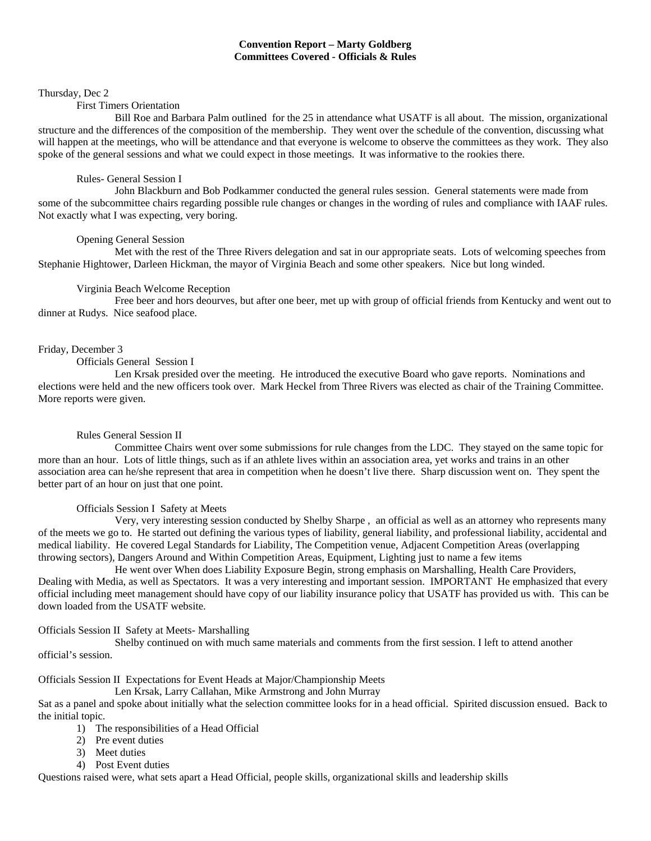# **Convention Report – Marty Goldberg Committees Covered - Officials & Rules**

#### Thursday, Dec 2

#### First Timers Orientation

 Bill Roe and Barbara Palm outlined for the 25 in attendance what USATF is all about. The mission, organizational structure and the differences of the composition of the membership. They went over the schedule of the convention, discussing what will happen at the meetings, who will be attendance and that everyone is welcome to observe the committees as they work. They also spoke of the general sessions and what we could expect in those meetings. It was informative to the rookies there.

#### Rules- General Session I

 John Blackburn and Bob Podkammer conducted the general rules session. General statements were made from some of the subcommittee chairs regarding possible rule changes or changes in the wording of rules and compliance with IAAF rules. Not exactly what I was expecting, very boring.

#### Opening General Session

 Met with the rest of the Three Rivers delegation and sat in our appropriate seats. Lots of welcoming speeches from Stephanie Hightower, Darleen Hickman, the mayor of Virginia Beach and some other speakers. Nice but long winded.

#### Virginia Beach Welcome Reception

 Free beer and hors deourves, but after one beer, met up with group of official friends from Kentucky and went out to dinner at Rudys. Nice seafood place.

#### Friday, December 3

Officials General Session I

 Len Krsak presided over the meeting. He introduced the executive Board who gave reports. Nominations and elections were held and the new officers took over. Mark Heckel from Three Rivers was elected as chair of the Training Committee. More reports were given.

### Rules General Session II

 Committee Chairs went over some submissions for rule changes from the LDC. They stayed on the same topic for more than an hour. Lots of little things, such as if an athlete lives within an association area, yet works and trains in an other association area can he/she represent that area in competition when he doesn't live there. Sharp discussion went on. They spent the better part of an hour on just that one point.

#### Officials Session I Safety at Meets

 Very, very interesting session conducted by Shelby Sharpe , an official as well as an attorney who represents many of the meets we go to. He started out defining the various types of liability, general liability, and professional liability, accidental and medical liability. He covered Legal Standards for Liability, The Competition venue, Adjacent Competition Areas (overlapping throwing sectors), Dangers Around and Within Competition Areas, Equipment, Lighting just to name a few items

 He went over When does Liability Exposure Begin, strong emphasis on Marshalling, Health Care Providers, Dealing with Media, as well as Spectators. It was a very interesting and important session. IMPORTANT He emphasized that every official including meet management should have copy of our liability insurance policy that USATF has provided us with. This can be down loaded from the USATF website.

Officials Session II Safety at Meets- Marshalling

 Shelby continued on with much same materials and comments from the first session. I left to attend another official's session.

Officials Session II Expectations for Event Heads at Major/Championship Meets

Len Krsak, Larry Callahan, Mike Armstrong and John Murray

Sat as a panel and spoke about initially what the selection committee looks for in a head official. Spirited discussion ensued. Back to the initial topic.

- 1) The responsibilities of a Head Official
- 2) Pre event duties
- 3) Meet duties
- 4) Post Event duties

Questions raised were, what sets apart a Head Official, people skills, organizational skills and leadership skills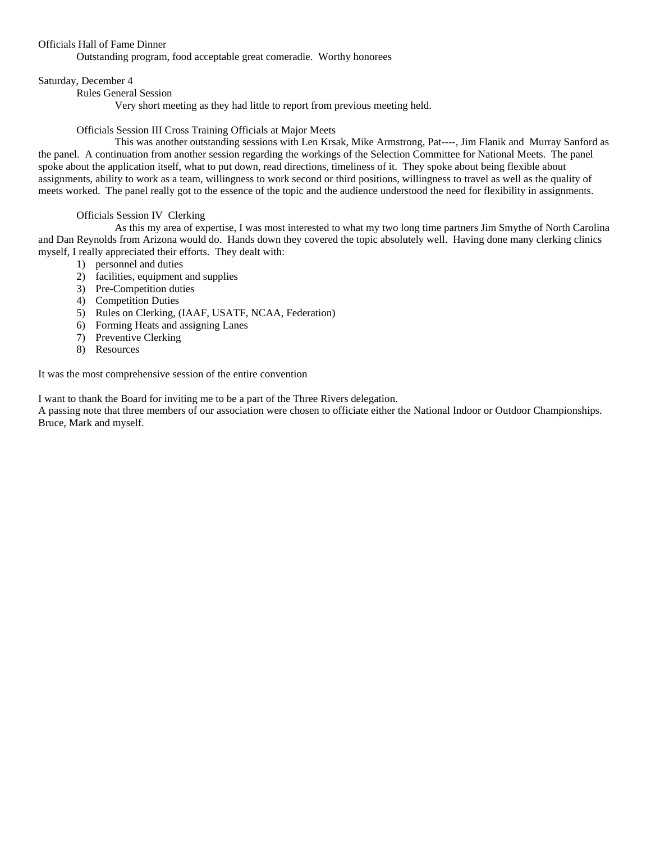#### Officials Hall of Fame Dinner

Outstanding program, food acceptable great comeradie. Worthy honorees

#### Saturday, December 4

Rules General Session

Very short meeting as they had little to report from previous meeting held.

#### Officials Session III Cross Training Officials at Major Meets

 This was another outstanding sessions with Len Krsak, Mike Armstrong, Pat----, Jim Flanik and Murray Sanford as the panel. A continuation from another session regarding the workings of the Selection Committee for National Meets. The panel spoke about the application itself, what to put down, read directions, timeliness of it. They spoke about being flexible about assignments, ability to work as a team, willingness to work second or third positions, willingness to travel as well as the quality of meets worked. The panel really got to the essence of the topic and the audience understood the need for flexibility in assignments.

#### Officials Session IV Clerking

 As this my area of expertise, I was most interested to what my two long time partners Jim Smythe of North Carolina and Dan Reynolds from Arizona would do. Hands down they covered the topic absolutely well. Having done many clerking clinics myself, I really appreciated their efforts. They dealt with:

- 1) personnel and duties
- 2) facilities, equipment and supplies
- 3) Pre-Competition duties
- 4) Competition Duties
- 5) Rules on Clerking, (IAAF, USATF, NCAA, Federation)
- 6) Forming Heats and assigning Lanes
- 7) Preventive Clerking
- 8) Resources

It was the most comprehensive session of the entire convention

I want to thank the Board for inviting me to be a part of the Three Rivers delegation.

A passing note that three members of our association were chosen to officiate either the National Indoor or Outdoor Championships. Bruce, Mark and myself.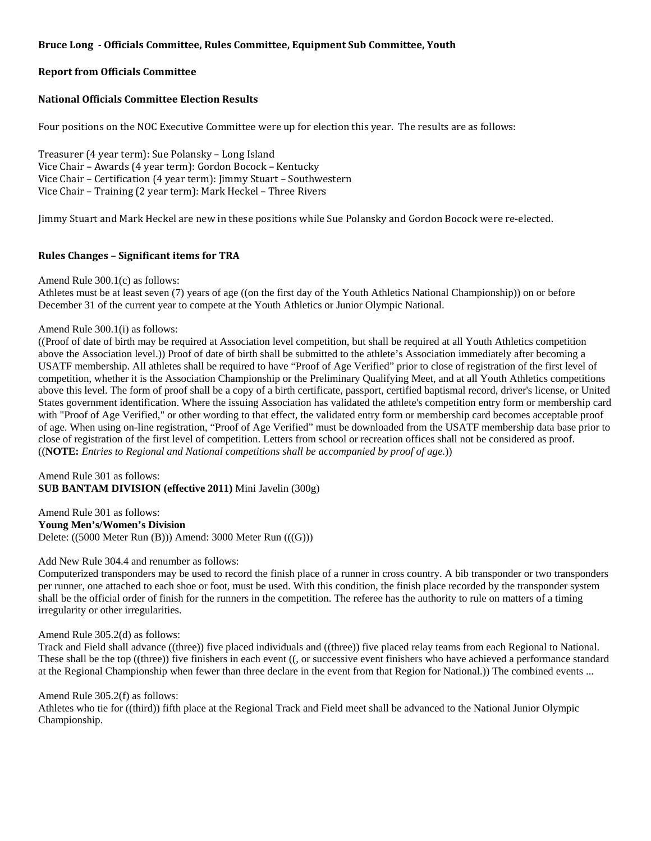# **Bruce Long Officials Committee, Rules Committee, Equipment Sub Committee, Youth**

## **Report from Officials Committee**

## **National Officials Committee Election Results**

Four positions on the NOC Executive Committee were up for election this year. The results are as follows:

Treasurer (4 year term): Sue Polansky – Long Island Vice Chair – Awards (4 year term): Gordon Bocock – Kentucky Vice Chair – Certification (4 year term): Jimmy Stuart – Southwestern Vice Chair – Training (2 year term): Mark Heckel – Three Rivers

Jimmy Stuart and Mark Heckel are new in these positions while Sue Polansky and Gordon Bocock were re‐elected.

### **Rules Changes – Significant items for TRA**

Amend Rule 300.1(c) as follows:

Athletes must be at least seven (7) years of age ((on the first day of the Youth Athletics National Championship)) on or before December 31 of the current year to compete at the Youth Athletics or Junior Olympic National.

#### Amend Rule 300.1(i) as follows:

((Proof of date of birth may be required at Association level competition, but shall be required at all Youth Athletics competition above the Association level.)) Proof of date of birth shall be submitted to the athlete's Association immediately after becoming a USATF membership. All athletes shall be required to have "Proof of Age Verified" prior to close of registration of the first level of competition, whether it is the Association Championship or the Preliminary Qualifying Meet, and at all Youth Athletics competitions above this level. The form of proof shall be a copy of a birth certificate, passport, certified baptismal record, driver's license, or United States government identification. Where the issuing Association has validated the athlete's competition entry form or membership card with "Proof of Age Verified," or other wording to that effect, the validated entry form or membership card becomes acceptable proof of age. When using on-line registration, "Proof of Age Verified" must be downloaded from the USATF membership data base prior to close of registration of the first level of competition. Letters from school or recreation offices shall not be considered as proof. ((**NOTE:** *Entries to Regional and National competitions shall be accompanied by proof of age.*))

Amend Rule 301 as follows: **SUB BANTAM DIVISION (effective 2011)** Mini Javelin (300g)

Amend Rule 301 as follows: **Young Men's/Women's Division**  Delete: ((5000 Meter Run (B))) Amend: 3000 Meter Run (((G)))

#### Add New Rule 304.4 and renumber as follows:

Computerized transponders may be used to record the finish place of a runner in cross country. A bib transponder or two transponders per runner, one attached to each shoe or foot, must be used. With this condition, the finish place recorded by the transponder system shall be the official order of finish for the runners in the competition. The referee has the authority to rule on matters of a timing irregularity or other irregularities.

#### Amend Rule 305.2(d) as follows:

Track and Field shall advance ((three)) five placed individuals and ((three)) five placed relay teams from each Regional to National. These shall be the top ((three)) five finishers in each event ((, or successive event finishers who have achieved a performance standard at the Regional Championship when fewer than three declare in the event from that Region for National.)) The combined events ...

#### Amend Rule 305.2(f) as follows:

Athletes who tie for ((third)) fifth place at the Regional Track and Field meet shall be advanced to the National Junior Olympic Championship.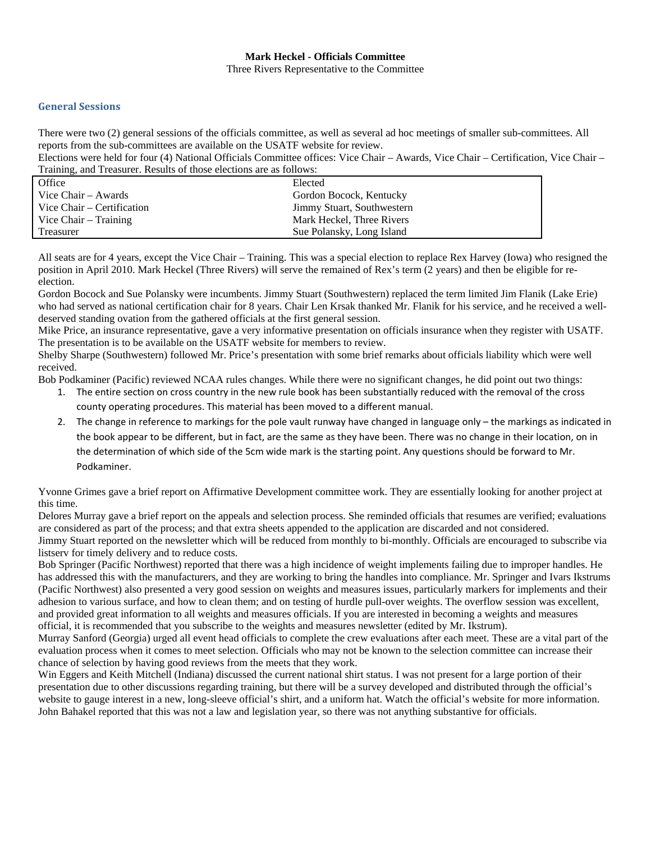#### **Mark Heckel - Officials Committee**  Three Rivers Representative to the Committee

## **General Sessions**

There were two (2) general sessions of the officials committee, as well as several ad hoc meetings of smaller sub-committees. All reports from the sub-committees are available on the USATF website for review.

Elections were held for four (4) National Officials Committee offices: Vice Chair – Awards, Vice Chair – Certification, Vice Chair – Training, and Treasurer. Results of those elections are as follows:

| Office                     | Elected                    |
|----------------------------|----------------------------|
| Vice Chair – Awards        | Gordon Bocock, Kentucky    |
| Vice Chair – Certification | Jimmy Stuart, Southwestern |
| Vice $Chair - Training$    | Mark Heckel, Three Rivers  |
| Treasurer                  | Sue Polansky, Long Island  |

All seats are for 4 years, except the Vice Chair – Training. This was a special election to replace Rex Harvey (Iowa) who resigned the position in April 2010. Mark Heckel (Three Rivers) will serve the remained of Rex's term (2 years) and then be eligible for reelection.

Gordon Bocock and Sue Polansky were incumbents. Jimmy Stuart (Southwestern) replaced the term limited Jim Flanik (Lake Erie) who had served as national certification chair for 8 years. Chair Len Krsak thanked Mr. Flanik for his service, and he received a welldeserved standing ovation from the gathered officials at the first general session.

Mike Price, an insurance representative, gave a very informative presentation on officials insurance when they register with USATF. The presentation is to be available on the USATF website for members to review.

Shelby Sharpe (Southwestern) followed Mr. Price's presentation with some brief remarks about officials liability which were well received.

Bob Podkaminer (Pacific) reviewed NCAA rules changes. While there were no significant changes, he did point out two things:

- 1. The entire section on cross country in the new rule book has been substantially reduced with the removal of the cross county operating procedures. This material has been moved to a different manual.
- 2. The change in reference to markings for the pole vault runway have changed in language only the markings as indicated in the book appear to be different, but in fact, are the same as they have been. There was no change in their location, on in the determination of which side of the 5cm wide mark is the starting point. Any questions should be forward to Mr. Podkaminer.

Yvonne Grimes gave a brief report on Affirmative Development committee work. They are essentially looking for another project at this time.

Delores Murray gave a brief report on the appeals and selection process. She reminded officials that resumes are verified; evaluations are considered as part of the process; and that extra sheets appended to the application are discarded and not considered. Jimmy Stuart reported on the newsletter which will be reduced from monthly to bi-monthly. Officials are encouraged to subscribe via listserv for timely delivery and to reduce costs.

Bob Springer (Pacific Northwest) reported that there was a high incidence of weight implements failing due to improper handles. He has addressed this with the manufacturers, and they are working to bring the handles into compliance. Mr. Springer and Ivars Ikstrums (Pacific Northwest) also presented a very good session on weights and measures issues, particularly markers for implements and their adhesion to various surface, and how to clean them; and on testing of hurdle pull-over weights. The overflow session was excellent, and provided great information to all weights and measures officials. If you are interested in becoming a weights and measures official, it is recommended that you subscribe to the weights and measures newsletter (edited by Mr. Ikstrum).

Murray Sanford (Georgia) urged all event head officials to complete the crew evaluations after each meet. These are a vital part of the evaluation process when it comes to meet selection. Officials who may not be known to the selection committee can increase their chance of selection by having good reviews from the meets that they work.

Win Eggers and Keith Mitchell (Indiana) discussed the current national shirt status. I was not present for a large portion of their presentation due to other discussions regarding training, but there will be a survey developed and distributed through the official's website to gauge interest in a new, long-sleeve official's shirt, and a uniform hat. Watch the official's website for more information. John Bahakel reported that this was not a law and legislation year, so there was not anything substantive for officials.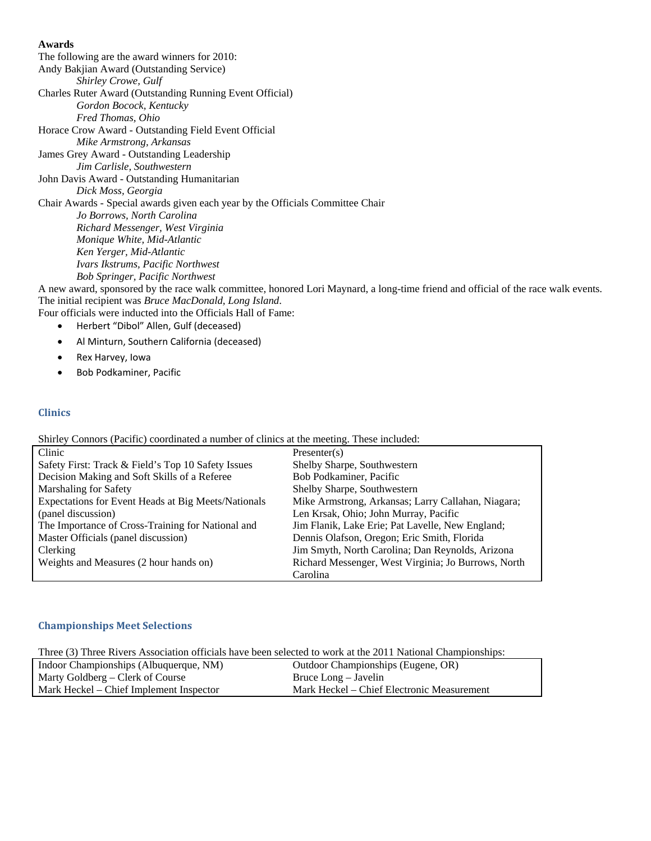**Awards** The following are the award winners for 2010: Andy Bakjian Award (Outstanding Service)  *Shirley Crowe, Gulf*  Charles Ruter Award (Outstanding Running Event Official)  *Gordon Bocock, Kentucky Fred Thomas, Ohio*  Horace Crow Award - Outstanding Field Event Official  *Mike Armstrong, Arkansas*  James Grey Award - Outstanding Leadership  *Jim Carlisle, Southwestern*  John Davis Award - Outstanding Humanitarian  *Dick Moss, Georgia*  Chair Awards - Special awards given each year by the Officials Committee Chair  *Jo Borrows, North Carolina Richard Messenger, West Virginia Monique White, Mid-Atlantic Ken Yerger, Mid-Atlantic Ivars Ikstrums, Pacific Northwest Bob Springer, Pacific Northwest* 

A new award, sponsored by the race walk committee, honored Lori Maynard, a long-time friend and official of the race walk events. The initial recipient was *Bruce MacDonald, Long Island*.

Four officials were inducted into the Officials Hall of Fame:

- Herbert "Dibol" Allen, Gulf (deceased)
- Al Minturn, Southern California (deceased)
- Rex Harvey, Iowa
- Bob Podkaminer, Pacific

### **Clinics**

Shirley Connors (Pacific) coordinated a number of clinics at the meeting. These included:

| Clinic                                              | Presenter(s)                                        |
|-----------------------------------------------------|-----------------------------------------------------|
| Safety First: Track & Field's Top 10 Safety Issues  | Shelby Sharpe, Southwestern                         |
| Decision Making and Soft Skills of a Referee        | Bob Podkaminer, Pacific                             |
| Marshaling for Safety                               | Shelby Sharpe, Southwestern                         |
| Expectations for Event Heads at Big Meets/Nationals | Mike Armstrong, Arkansas; Larry Callahan, Niagara;  |
| (panel discussion)                                  | Len Krsak, Ohio; John Murray, Pacific               |
| The Importance of Cross-Training for National and   | Jim Flanik, Lake Erie; Pat Lavelle, New England;    |
| Master Officials (panel discussion)                 | Dennis Olafson, Oregon; Eric Smith, Florida         |
| <b>Clerking</b>                                     | Jim Smyth, North Carolina; Dan Reynolds, Arizona    |
| Weights and Measures (2 hour hands on)              | Richard Messenger, West Virginia; Jo Burrows, North |
|                                                     | Carolina                                            |

### **Championships Meet Selections**

Three (3) Three Rivers Association officials have been selected to work at the 2011 National Championships:

| Indoor Championships (Albuquerque, NM)  | Outdoor Championships (Eugene, OR)         |
|-----------------------------------------|--------------------------------------------|
| Marty Goldberg – Clerk of Course        | Bruce Long – Javelin                       |
| Mark Heckel – Chief Implement Inspector | Mark Heckel – Chief Electronic Measurement |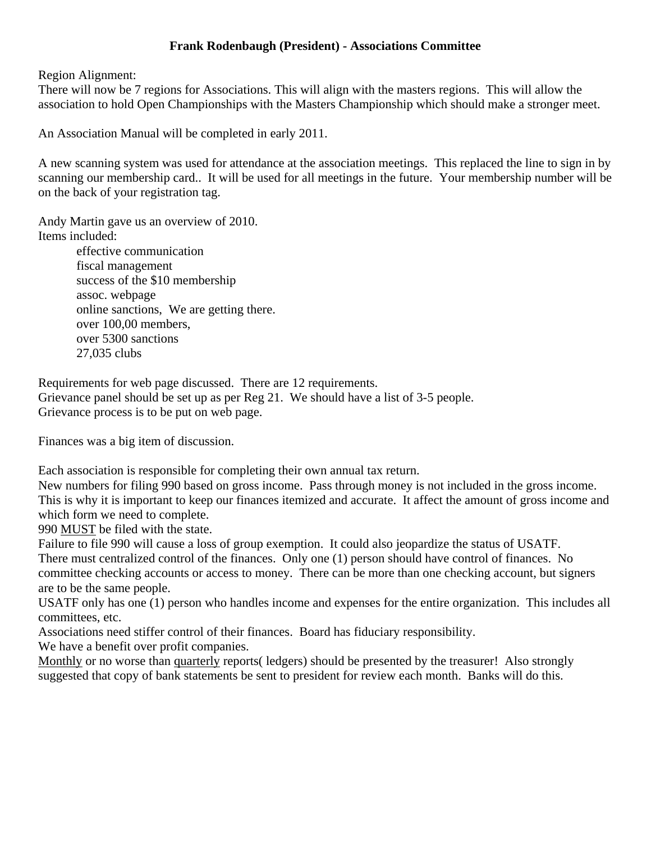# **Frank Rodenbaugh (President) - Associations Committee**

Region Alignment:

There will now be 7 regions for Associations. This will align with the masters regions. This will allow the association to hold Open Championships with the Masters Championship which should make a stronger meet.

An Association Manual will be completed in early 2011.

A new scanning system was used for attendance at the association meetings. This replaced the line to sign in by scanning our membership card.. It will be used for all meetings in the future. Your membership number will be on the back of your registration tag.

Andy Martin gave us an overview of 2010. Items included: effective communication

 fiscal management success of the \$10 membership assoc. webpage online sanctions, We are getting there. over 100,00 members, over 5300 sanctions 27,035 clubs

Requirements for web page discussed. There are 12 requirements. Grievance panel should be set up as per Reg 21. We should have a list of 3-5 people. Grievance process is to be put on web page.

Finances was a big item of discussion.

Each association is responsible for completing their own annual tax return.

New numbers for filing 990 based on gross income. Pass through money is not included in the gross income. This is why it is important to keep our finances itemized and accurate. It affect the amount of gross income and which form we need to complete.

990 MUST be filed with the state.

Failure to file 990 will cause a loss of group exemption. It could also jeopardize the status of USATF. There must centralized control of the finances. Only one (1) person should have control of finances. No committee checking accounts or access to money. There can be more than one checking account, but signers are to be the same people.

USATF only has one (1) person who handles income and expenses for the entire organization. This includes all committees, etc.

Associations need stiffer control of their finances. Board has fiduciary responsibility.

We have a benefit over profit companies.

Monthly or no worse than quarterly reports( ledgers) should be presented by the treasurer! Also strongly suggested that copy of bank statements be sent to president for review each month. Banks will do this.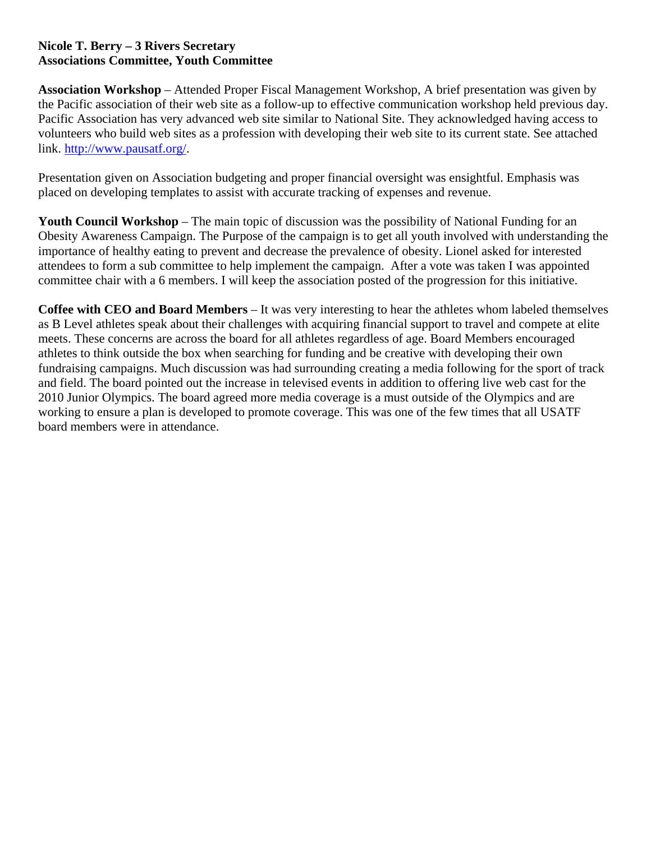# **Nicole T. Berry – 3 Rivers Secretary Associations Committee, Youth Committee**

**Association Workshop** – Attended Proper Fiscal Management Workshop, A brief presentation was given by the Pacific association of their web site as a follow-up to effective communication workshop held previous day. Pacific Association has very advanced web site similar to National Site. They acknowledged having access to volunteers who build web sites as a profession with developing their web site to its current state. See attached link. http://www.pausatf.org/.

Presentation given on Association budgeting and proper financial oversight was ensightful. Emphasis was placed on developing templates to assist with accurate tracking of expenses and revenue.

**Youth Council Workshop** – The main topic of discussion was the possibility of National Funding for an Obesity Awareness Campaign. The Purpose of the campaign is to get all youth involved with understanding the importance of healthy eating to prevent and decrease the prevalence of obesity. Lionel asked for interested attendees to form a sub committee to help implement the campaign. After a vote was taken I was appointed committee chair with a 6 members. I will keep the association posted of the progression for this initiative.

**Coffee with CEO and Board Members** – It was very interesting to hear the athletes whom labeled themselves as B Level athletes speak about their challenges with acquiring financial support to travel and compete at elite meets. These concerns are across the board for all athletes regardless of age. Board Members encouraged athletes to think outside the box when searching for funding and be creative with developing their own fundraising campaigns. Much discussion was had surrounding creating a media following for the sport of track and field. The board pointed out the increase in televised events in addition to offering live web cast for the 2010 Junior Olympics. The board agreed more media coverage is a must outside of the Olympics and are working to ensure a plan is developed to promote coverage. This was one of the few times that all USATF board members were in attendance.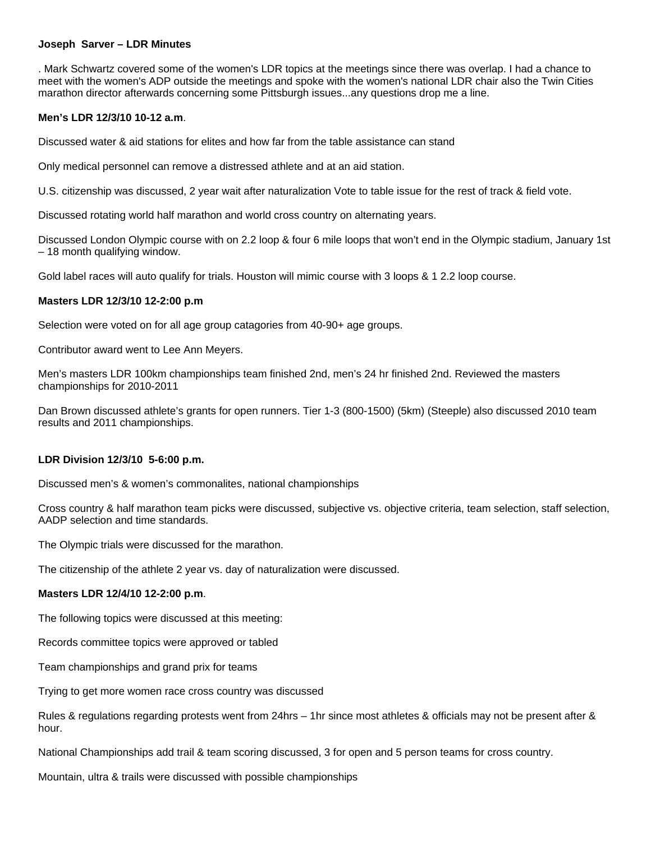### **Joseph Sarver – LDR Minutes**

. Mark Schwartz covered some of the women's LDR topics at the meetings since there was overlap. I had a chance to meet with the women's ADP outside the meetings and spoke with the women's national LDR chair also the Twin Cities marathon director afterwards concerning some Pittsburgh issues...any questions drop me a line.

# **Men's LDR 12/3/10 10-12 a.m**.

Discussed water & aid stations for elites and how far from the table assistance can stand

Only medical personnel can remove a distressed athlete and at an aid station.

U.S. citizenship was discussed, 2 year wait after naturalization Vote to table issue for the rest of track & field vote.

Discussed rotating world half marathon and world cross country on alternating years.

Discussed London Olympic course with on 2.2 loop & four 6 mile loops that won't end in the Olympic stadium, January 1st – 18 month qualifying window.

Gold label races will auto qualify for trials. Houston will mimic course with 3 loops & 1 2.2 loop course.

# **Masters LDR 12/3/10 12-2:00 p.m**

Selection were voted on for all age group catagories from 40-90+ age groups.

Contributor award went to Lee Ann Meyers.

Men's masters LDR 100km championships team finished 2nd, men's 24 hr finished 2nd. Reviewed the masters championships for 2010-2011

Dan Brown discussed athlete's grants for open runners. Tier 1-3 (800-1500) (5km) (Steeple) also discussed 2010 team results and 2011 championships.

### **LDR Division 12/3/10 5-6:00 p.m.**

Discussed men's & women's commonalites, national championships

Cross country & half marathon team picks were discussed, subjective vs. objective criteria, team selection, staff selection, AADP selection and time standards.

The Olympic trials were discussed for the marathon.

The citizenship of the athlete 2 year vs. day of naturalization were discussed.

### **Masters LDR 12/4/10 12-2:00 p.m**.

The following topics were discussed at this meeting:

Records committee topics were approved or tabled

Team championships and grand prix for teams

Trying to get more women race cross country was discussed

Rules & regulations regarding protests went from 24hrs – 1hr since most athletes & officials may not be present after & hour.

National Championships add trail & team scoring discussed, 3 for open and 5 person teams for cross country.

Mountain, ultra & trails were discussed with possible championships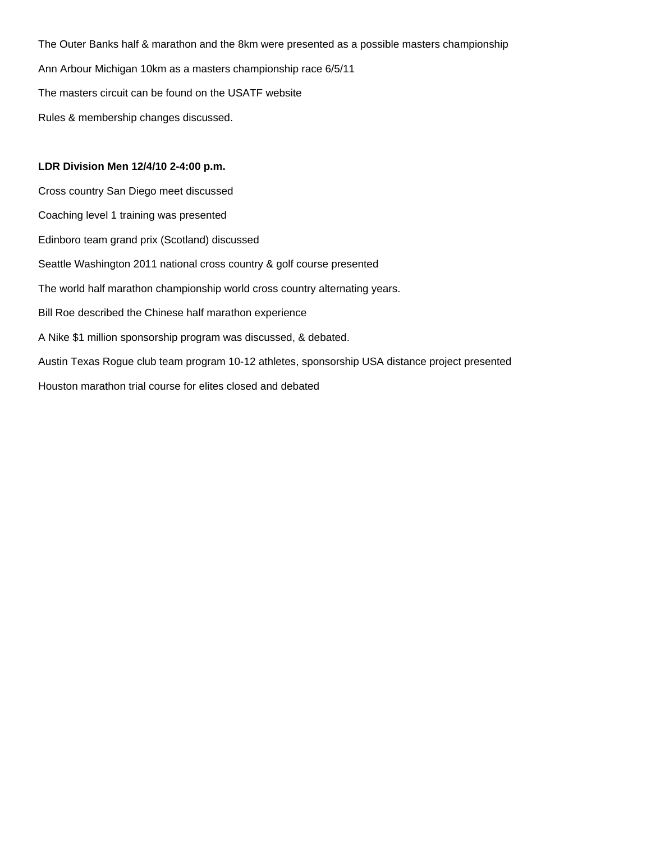The Outer Banks half & marathon and the 8km were presented as a possible masters championship Ann Arbour Michigan 10km as a masters championship race 6/5/11 The masters circuit can be found on the USATF website Rules & membership changes discussed.

# **LDR Division Men 12/4/10 2-4:00 p.m.**

Cross country San Diego meet discussed Coaching level 1 training was presented Edinboro team grand prix (Scotland) discussed Seattle Washington 2011 national cross country & golf course presented The world half marathon championship world cross country alternating years. Bill Roe described the Chinese half marathon experience A Nike \$1 million sponsorship program was discussed, & debated. Austin Texas Rogue club team program 10-12 athletes, sponsorship USA distance project presented Houston marathon trial course for elites closed and debated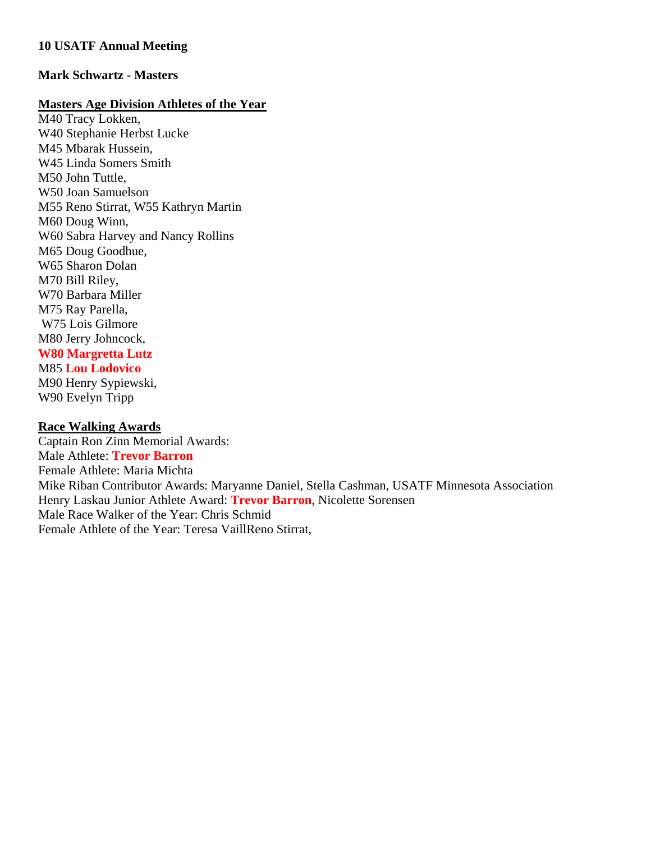# **10 USATF Annual Meeting**

# **Mark Schwartz - Masters**

# **Masters Age Division Athletes of the Year**

M40 Tracy Lokken, W40 Stephanie Herbst Lucke M45 Mbarak Hussein, W45 Linda Somers Smith M50 John Tuttle, W50 Joan Samuelson M55 Reno Stirrat, W55 Kathryn Martin M60 Doug Winn, W60 Sabra Harvey and Nancy Rollins M65 Doug Goodhue, W65 Sharon Dolan M70 Bill Riley, W70 Barbara Miller M75 Ray Parella, W75 Lois Gilmore M80 Jerry Johncock, **W80 Margretta Lutz** M85 **Lou Lodovico** M90 Henry Sypiewski, W90 Evelyn Tripp

# **Race Walking Awards**

Captain Ron Zinn Memorial Awards: Male Athlete: **Trevor Barron** Female Athlete: Maria Michta Mike Riban Contributor Awards: Maryanne Daniel, Stella Cashman, USATF Minnesota Association Henry Laskau Junior Athlete Award: **Trevor Barron**, Nicolette Sorensen Male Race Walker of the Year: Chris Schmid Female Athlete of the Year: Teresa VaillReno Stirrat,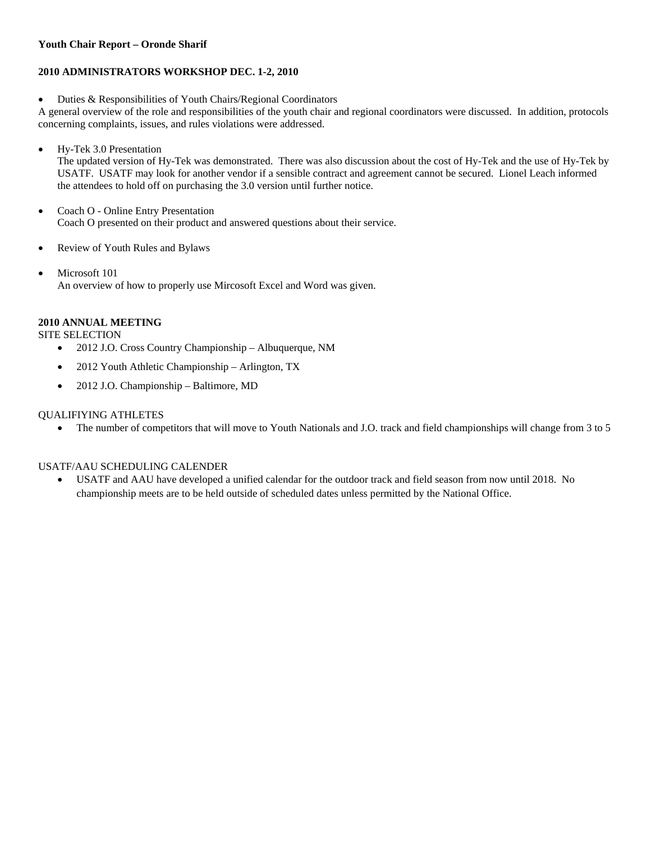### **Youth Chair Report – Oronde Sharif**

# **2010 ADMINISTRATORS WORKSHOP DEC. 1-2, 2010**

Duties & Responsibilities of Youth Chairs/Regional Coordinators

A general overview of the role and responsibilities of the youth chair and regional coordinators were discussed. In addition, protocols concerning complaints, issues, and rules violations were addressed.

Hy-Tek 3.0 Presentation

The updated version of Hy-Tek was demonstrated. There was also discussion about the cost of Hy-Tek and the use of Hy-Tek by USATF. USATF may look for another vendor if a sensible contract and agreement cannot be secured. Lionel Leach informed the attendees to hold off on purchasing the 3.0 version until further notice.

- Coach O Online Entry Presentation Coach O presented on their product and answered questions about their service.
- Review of Youth Rules and Bylaws
- Microsoft 101 An overview of how to properly use Mircosoft Excel and Word was given.

# **2010 ANNUAL MEETING**

SITE SELECTION

- 2012 J.O. Cross Country Championship Albuquerque, NM
- 2012 Youth Athletic Championship Arlington, TX
- 2012 J.O. Championship Baltimore, MD

### QUALIFIYING ATHLETES

• The number of competitors that will move to Youth Nationals and J.O. track and field championships will change from 3 to 5

# USATF/AAU SCHEDULING CALENDER

 USATF and AAU have developed a unified calendar for the outdoor track and field season from now until 2018. No championship meets are to be held outside of scheduled dates unless permitted by the National Office.